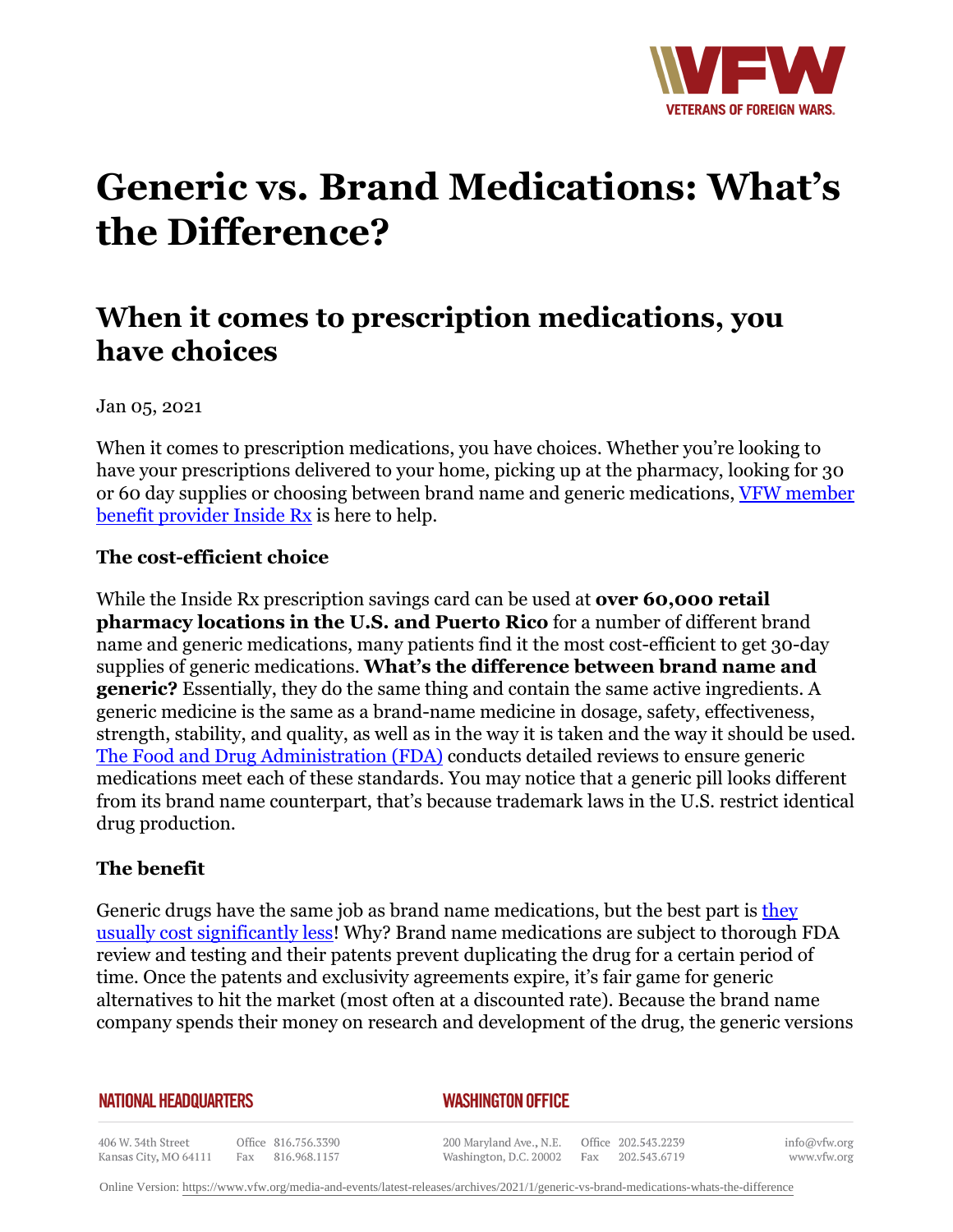

# **Generic vs. Brand Medications: What's the Difference?**

# **When it comes to prescription medications, you have choices**

Jan 05, 2021

When it comes to prescription medications, you have choices. Whether you're looking to have your prescriptions delivered to your home, picking up at the pharmacy, looking for 30 or 60 day supplies or choosing between brand name and generic medications, [VFW member](http:http://insiderx.com/VFW) [benefit provider Inside Rx](http:http://insiderx.com/VFW) is here to help.

### **The cost-efficient choice**

While the Inside Rx prescription savings card can be used at **over 60,000 retail pharmacy locations in the U.S. and Puerto Rico** for a number of different brand name and generic medications, many patients find it the most cost-efficient to get 30-day supplies of generic medications. **What's the difference between brand name and generic?** Essentially, they do the same thing and contain the same active ingredients. A generic medicine is the same as a brand-name medicine in dosage, safety, effectiveness, strength, stability, and quality, as well as in the way it is taken and the way it should be used. [The Food and Drug Administration \(FDA\)](https:http://www.fda.gov/drugs/questions-answers/generic-drugs-questions-answers) conducts detailed reviews to ensure generic medications meet each of these standards. You may notice that a generic pill looks different from its brand name counterpart, that's because trademark laws in the U.S. restrict identical drug production.

# **The benefit**

Generic drugs have the same job as brand name medications, but the best part is [they](https:http://www.fda.gov/drugs/questions-answers/generic-drugs-questions-answers#q4) [usually cost significantly less](https:http://www.fda.gov/drugs/questions-answers/generic-drugs-questions-answers#q4)! Why? Brand name medications are subject to thorough FDA review and testing and their patents prevent duplicating the drug for a certain period of time. Once the patents and exclusivity agreements expire, it's fair game for generic alternatives to hit the market (most often at a discounted rate). Because the brand name company spends their money on research and development of the drug, the generic versions

**NATIONAL HEADQUARTERS** 

#### *WASHINGTON OFFICE*

406 W. 34th Street Office 816.756.3390 Kansas City, MO 64111 Fax 816.968.1157

200 Maryland Ave., N.E. Washington, D.C. 20002

Office 202.543.2239 Fax 202.543.6719

info@vfw.org www.vfw.org

Online Version:<https://www.vfw.org/media-and-events/latest-releases/archives/2021/1/generic-vs-brand-medications-whats-the-difference>